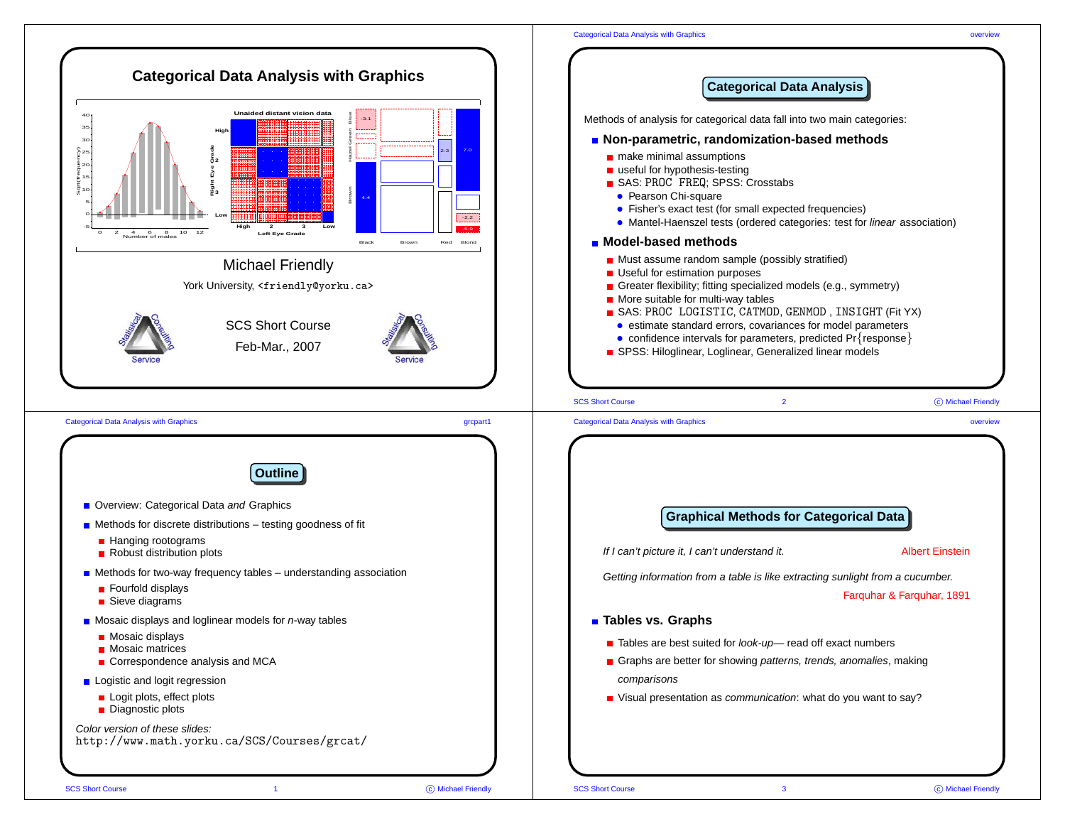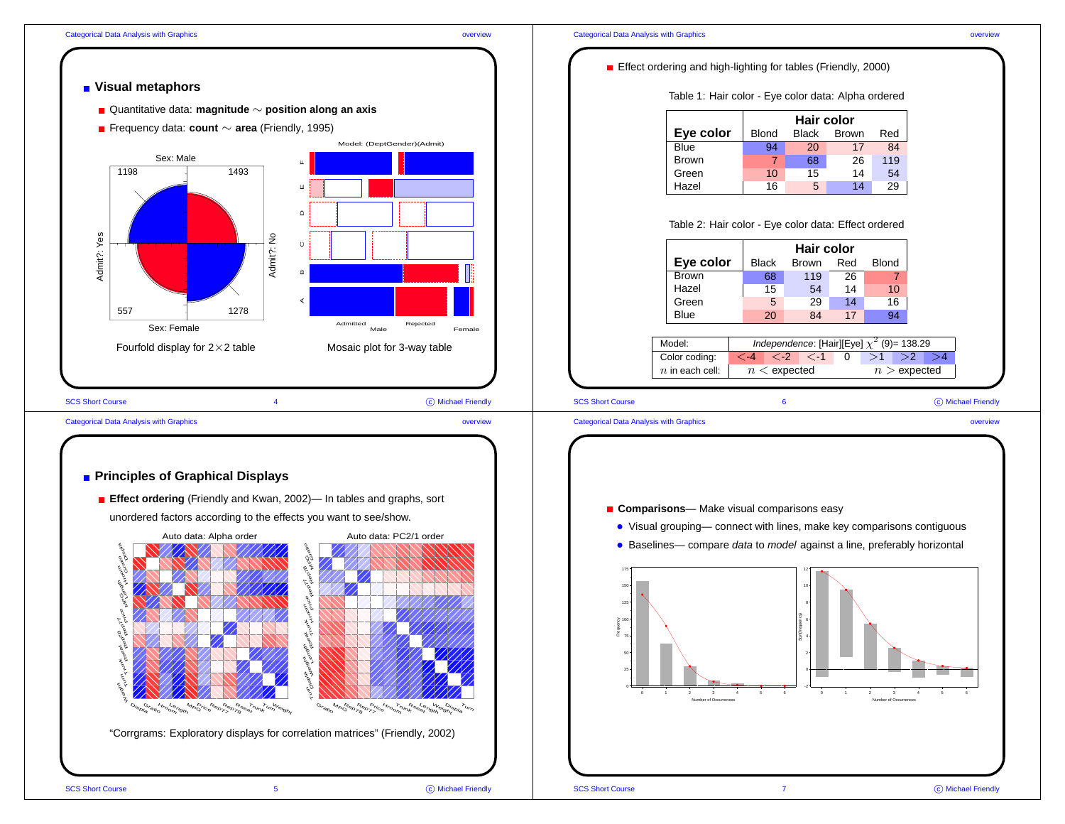

**Visual metaphors**

Admit?: Yes

Admit?: Yes

Quantitative data: **magnitude** <sup>∼</sup> **position along an axis**

Frequency data: **count** <sup>∼</sup> **area** (Friendly, 1995)

Sex: Male

1198 - 1493

Sex: Female

SCS Short Course 4

557 1278

Fourfold display for  $2\times 2$  table

## Categorical Data Analysis with Graphics overview



## **Principles of Graphical Displays**

**Effect ordering** (Friendly and Kwan, 2002)— In tables and graphs, sort unordered factors according to the effects you want to see/show.

Admit?: No

A B C D E F

 $\circ$ 

 $\mathbf{m}$ 

 $\triangleleft$ 

 $\cap$ 

-<br>Admitted<br>Male

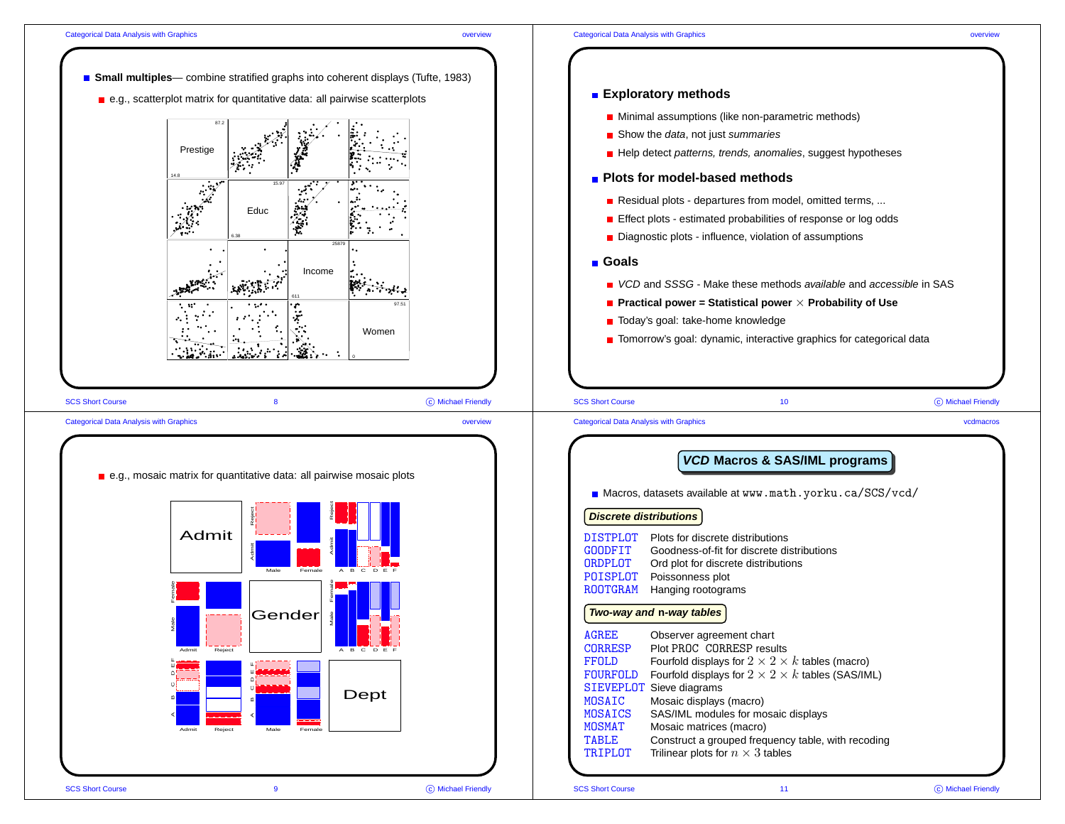C Michael Friendly

C Michael Friendly

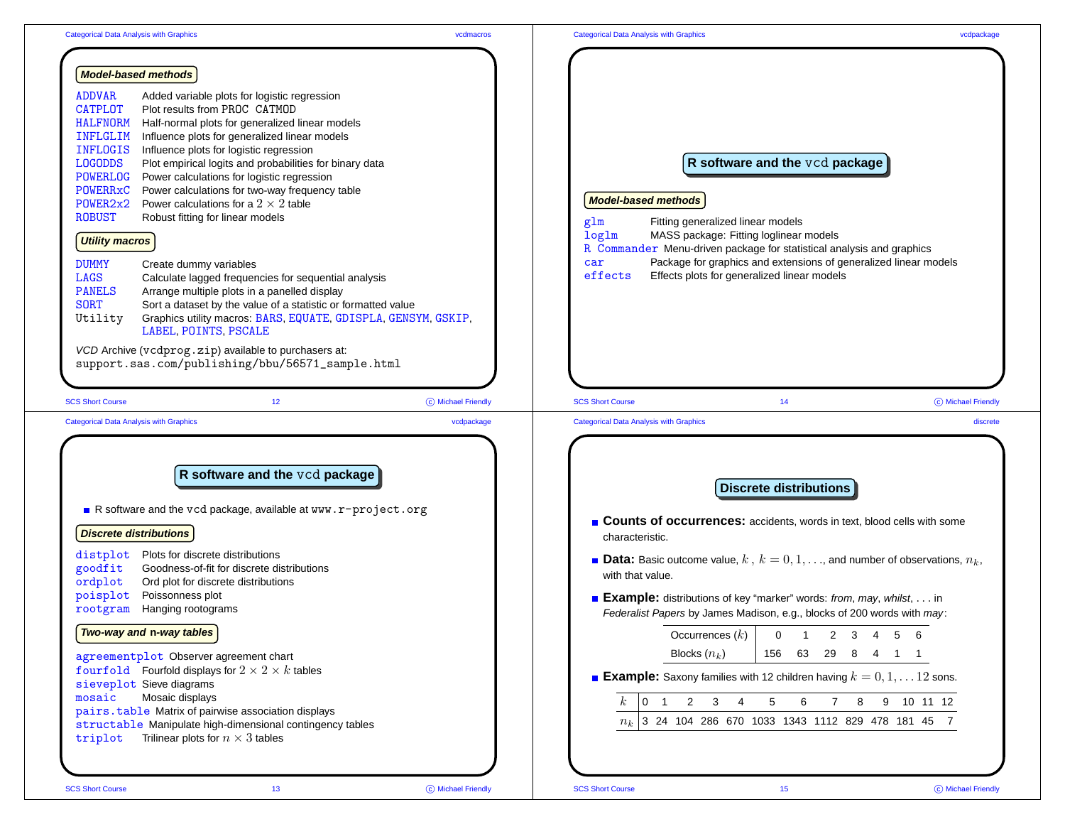| <b>Model-based methods</b>                                                                                                                                                                                                                                                                                                                                                                                                                                                                                                                                                                                                                                                                                                                                                                                                                                                                                                                                                                                                                                                                                     |                                                                                                                                                                                                                                                                                                                                                                                                                               |
|----------------------------------------------------------------------------------------------------------------------------------------------------------------------------------------------------------------------------------------------------------------------------------------------------------------------------------------------------------------------------------------------------------------------------------------------------------------------------------------------------------------------------------------------------------------------------------------------------------------------------------------------------------------------------------------------------------------------------------------------------------------------------------------------------------------------------------------------------------------------------------------------------------------------------------------------------------------------------------------------------------------------------------------------------------------------------------------------------------------|-------------------------------------------------------------------------------------------------------------------------------------------------------------------------------------------------------------------------------------------------------------------------------------------------------------------------------------------------------------------------------------------------------------------------------|
| <b>ADDVAR</b><br>Added variable plots for logistic regression<br><b>CATPLOT</b><br>Plot results from PROC CATMOD<br><b>HALFNORM</b><br>Half-normal plots for generalized linear models<br>INFLGLIM<br>Influence plots for generalized linear models<br><b>INFLOGIS</b><br>Influence plots for logistic regression<br><b>LOGODDS</b><br>Plot empirical logits and probabilities for binary data<br><b>POWERLOG</b><br>Power calculations for logistic regression<br><b>POWERRxC</b><br>Power calculations for two-way frequency table<br>POWER2x2<br>Power calculations for a $2 \times 2$ table<br><b>ROBUST</b><br>Robust fitting for linear models<br><b>Utility macros</b><br><b>DUMMY</b><br>Create dummy variables<br><b>LAGS</b><br>Calculate lagged frequencies for sequential analysis<br><b>PANELS</b><br>Arrange multiple plots in a panelled display<br><b>SORT</b><br>Sort a dataset by the value of a statistic or formatted value<br>Graphics utility macros: BARS, EQUATE, GDISPLA, GENSYM, GSKIP,<br>Utility<br>LABEL, POINTS, PSCALE<br>VCD Archive (vcdprog.zip) available to purchasers at: | R software and the vcd package<br><b>Model-based methods</b><br>Fitting generalized linear models<br>glm<br>log1 <sub>m</sub><br>MASS package: Fitting loglinear models<br>R Commander Menu-driven package for statistical analysis and graphics<br>Package for graphics and extensions of generalized linear models<br>car<br>effects<br>Effects plots for generalized linear models                                         |
| support.sas.com/publishing/bbu/56571_sample.html                                                                                                                                                                                                                                                                                                                                                                                                                                                                                                                                                                                                                                                                                                                                                                                                                                                                                                                                                                                                                                                               |                                                                                                                                                                                                                                                                                                                                                                                                                               |
| 12 <sup>°</sup><br>C Michael Friendly<br><b>SCS Short Course</b>                                                                                                                                                                                                                                                                                                                                                                                                                                                                                                                                                                                                                                                                                                                                                                                                                                                                                                                                                                                                                                               | <b>SCS Short Course</b><br>14<br>C Michael Friendly                                                                                                                                                                                                                                                                                                                                                                           |
| <b>Categorical Data Analysis with Graphics</b><br>vcdpackage                                                                                                                                                                                                                                                                                                                                                                                                                                                                                                                                                                                                                                                                                                                                                                                                                                                                                                                                                                                                                                                   | <b>Categorical Data Analysis with Graphics</b><br>discrete                                                                                                                                                                                                                                                                                                                                                                    |
| R software and the vcd package<br>R software and the vcd package, available at www.r-project.org<br><b>Discrete distributions</b><br>Plots for discrete distributions<br>distplot<br>goodfit<br>Goodness-of-fit for discrete distributions<br>ordplot<br>Ord plot for discrete distributions<br>poisplot<br>Poissonness plot<br>Hanging rootograms<br>rootgram                                                                                                                                                                                                                                                                                                                                                                                                                                                                                                                                                                                                                                                                                                                                                 | <b>Discrete distributions</b><br>Counts of occurrences: accidents, words in text, blood cells with some<br>characteristic.<br><b>Data:</b> Basic outcome value, $k, k = 0, 1, \ldots$ , and number of observations, $n_k$ ,<br>with that value.<br><b>Example:</b> distributions of key "marker" words: from, may, whilst, in<br>Federalist Papers by James Madison, e.g., blocks of 200 words with may:                      |
| Two-way and n-way tables<br>agreementplot Observer agreement chart<br>fourfold Fourfold displays for $2 \times 2 \times k$ tables<br>sieveplot Sieve diagrams<br>mosaic<br>Mosaic displays<br>pairs.table Matrix of pairwise association displays<br>structable Manipulate high-dimensional contingency tables                                                                                                                                                                                                                                                                                                                                                                                                                                                                                                                                                                                                                                                                                                                                                                                                 | Occurrences $(k)$<br>$\mathbf 0$<br>$2 \quad 3$<br>$6\overline{6}$<br>$\mathbf{1}$<br>$\overline{4}$<br>5<br>29<br>Blocks $(n_k)$<br>156<br>63<br>8<br>4 1 1<br><b>Example:</b> Saxony families with 12 children having $k = 0, 1, \ldots 12$ sons.<br>$\kappa$<br>$2 \quad 3$<br>5<br>6<br>$7^{\circ}$<br>8<br>9 10 11 12<br>$\overline{0}$<br>$\overline{1}$<br>4<br>$n_k$ 3 24 104 286 670 1033 1343 1112 829 478 181 45 7 |
| Trilinear plots for $n \times 3$ tables<br>triplot                                                                                                                                                                                                                                                                                                                                                                                                                                                                                                                                                                                                                                                                                                                                                                                                                                                                                                                                                                                                                                                             |                                                                                                                                                                                                                                                                                                                                                                                                                               |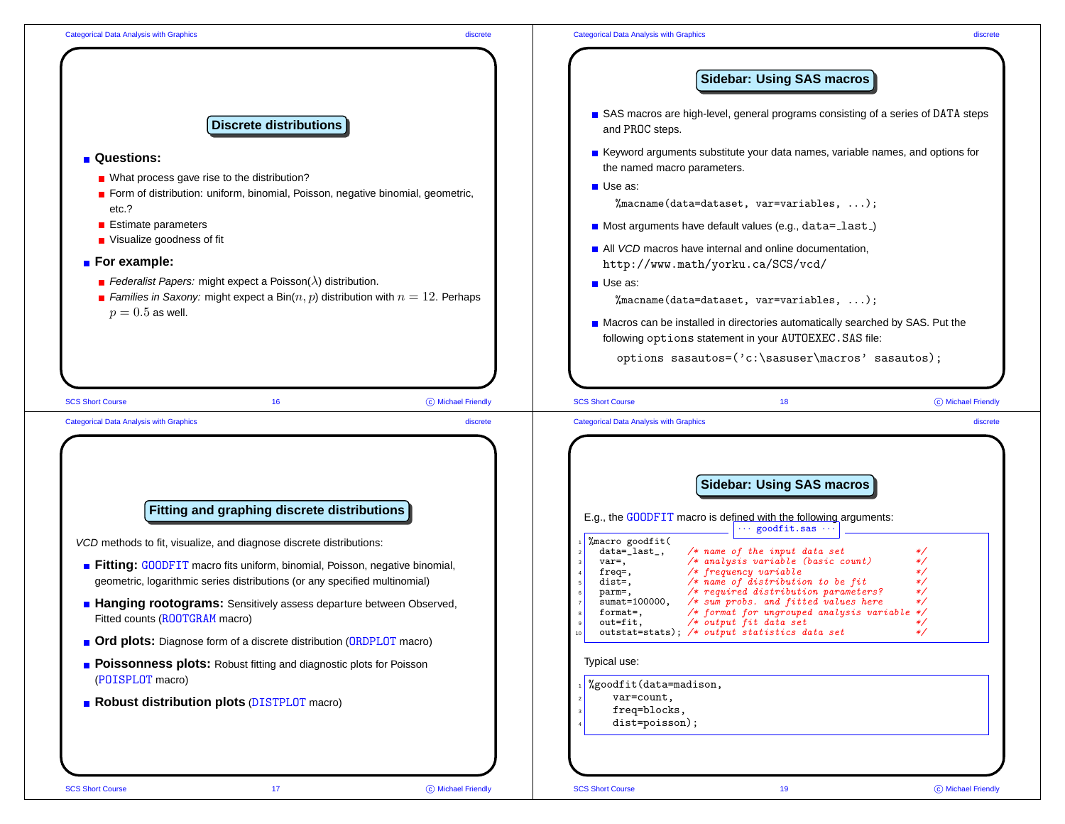|                                                                                                                                                                 | <b>Sidebar: Using SAS macros</b>                                                                                                                                                                                                           |
|-----------------------------------------------------------------------------------------------------------------------------------------------------------------|--------------------------------------------------------------------------------------------------------------------------------------------------------------------------------------------------------------------------------------------|
| <b>Discrete distributions</b>                                                                                                                                   | SAS macros are high-level, general programs consisting of a series of DATA steps<br>and PROC steps.                                                                                                                                        |
| <b>Questions:</b>                                                                                                                                               | Keyword arguments substitute your data names, variable names, and options for<br>the named macro parameters.                                                                                                                               |
| ■ What process gave rise to the distribution?                                                                                                                   | $\blacksquare$ Use as:                                                                                                                                                                                                                     |
| <b>E</b> Form of distribution: uniform, binomial, Poisson, negative binomial, geometric,<br>etc.?                                                               | %macname(data=dataset, var=variables, );                                                                                                                                                                                                   |
| ■ Estimate parameters                                                                                                                                           | Most arguments have default values (e.g., data=last)                                                                                                                                                                                       |
| ■ Visualize goodness of fit                                                                                                                                     | All VCD macros have internal and online documentation,                                                                                                                                                                                     |
| $\blacksquare$ For example:                                                                                                                                     | http://www.math/yorku.ca/SCS/vcd/                                                                                                                                                                                                          |
| <b>E</b> Federalist Papers: might expect a Poisson( $\lambda$ ) distribution.                                                                                   | <b>Use as:</b>                                                                                                                                                                                                                             |
| <b>E</b> Families in Saxony: might expect a Bin $(n, p)$ distribution with $n = 12$ . Perhaps                                                                   | %macname(data=dataset, var=variables, );                                                                                                                                                                                                   |
| $p = 0.5$ as well.                                                                                                                                              | ■ Macros can be installed in directories automatically searched by SAS. Put the<br>following options statement in your AUTOEXEC. SAS file:                                                                                                 |
|                                                                                                                                                                 | options sasautos=('c:\sasuser\macros' sasautos);                                                                                                                                                                                           |
| <b>SCS Short Course</b><br>C Michael Friendly<br>16<br><b>Categorical Data Analysis with Graphics</b>                                                           | <b>SCS Short Course</b><br>18<br><b>Categorical Data Analysis with Graphics</b><br>discrete                                                                                                                                                |
|                                                                                                                                                                 | C Michael Friendly<br>discrete<br><b>Sidebar: Using SAS macros</b>                                                                                                                                                                         |
| Fitting and graphing discrete distributions                                                                                                                     | E.g., the GOODFIT macro is defined with the following arguments:                                                                                                                                                                           |
| VCD methods to fit, visualize, and diagnose discrete distributions:                                                                                             | $goodfit.sas$ .<br>%macro goodfit(                                                                                                                                                                                                         |
| <b>Fitting: GOODFIT</b> macro fits uniform, binomial, Poisson, negative binomial,<br>geometric, logarithmic series distributions (or any specified multinomial) | data=_last_,<br>$/*$ name of the input data set<br>$/*$ analysis variable (basic count)<br>$var=$ ,<br>*/<br>$/*$ frequency variable<br>freq=,<br>$/*$ name of distribution to be fit<br>dist=,<br>*/                                      |
| <b>Hanging rootograms:</b> Sensitively assess departure between Observed,<br>Fitted counts (ROOTGRAM macro)                                                     | $/* required distribution parameters?$<br>*/<br>parm=,<br>$/*$ sum probs. and fitted values here<br>$sumat = 100000,$<br>*/<br>/* format for ungrouped analysis variable */<br>format=,<br>out=fit,<br>$/*$ output fit data set<br>$\ast/$ |
| ■ Ord plots: Diagnose form of a discrete distribution (ORDPLOT macro)                                                                                           | outstat=stats); /* output statistics data set<br>*/                                                                                                                                                                                        |
| <b>Poissonness plots:</b> Robust fitting and diagnostic plots for Poisson<br>(POISPLOT macro)                                                                   | Typical use:<br>%goodfit(data=madison,                                                                                                                                                                                                     |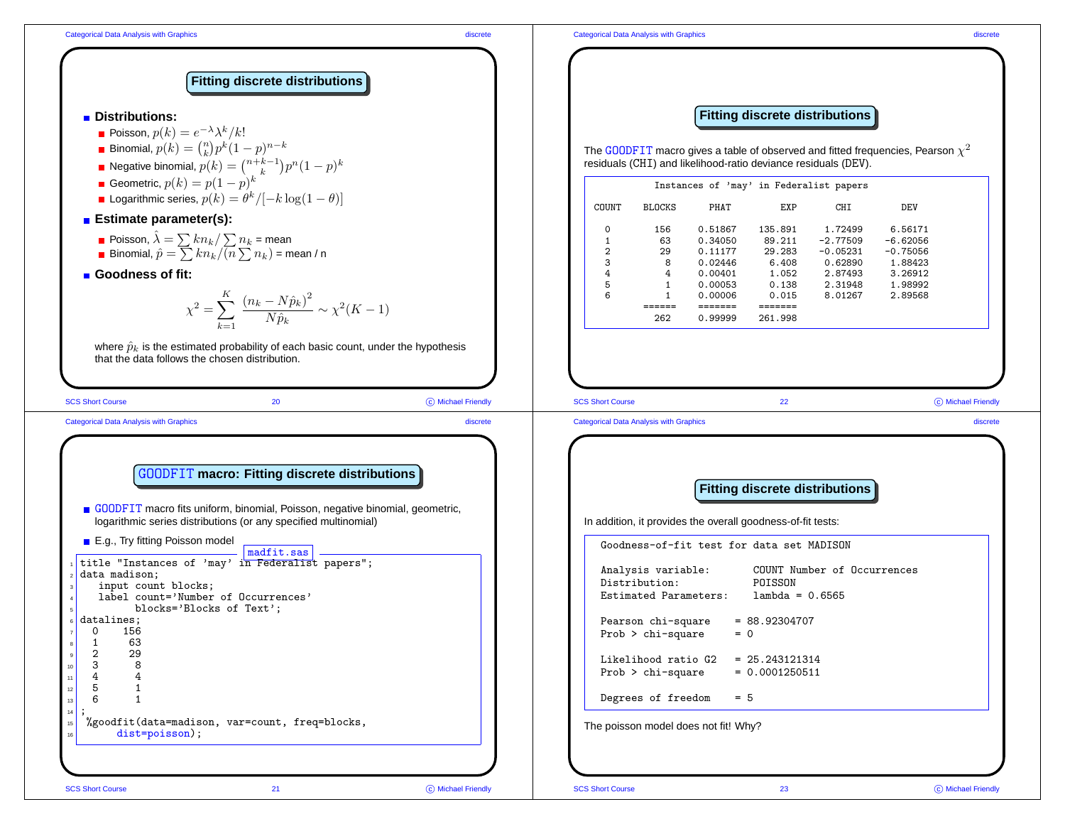## Categorical Data Analysis with Graphics discrete



C Michael Friendly

In addition, it provides the overall goodness-of-fit tests:

Goodness-of-fit test for data set MADISON

Analysis variable: COUNT Number of Occurrences Distribution: POISSON Estimated Parameters: lambda <sup>=</sup> 0.6565

Pearson chi-square  $= 88.92304707$  $Prob$  > chi-square = 0

Likelihood ratio  $G2 = 25.243121314$  $Prob > chi-square = 0.0001250511$ 

Degrees of freedom  $= 5$ 

The poisson model does not fit! Why?

dist=poisson);

<sup>15</sup> %goodfit(data=madison, var=count, freq=blocks,

data madison:

input count blocks:

 $\overline{\phantom{a}}$  madfit.sas

title "Instances of 'may' in Federalist papers";

label count='Number of Occurrences' blocks='Blocks of Text';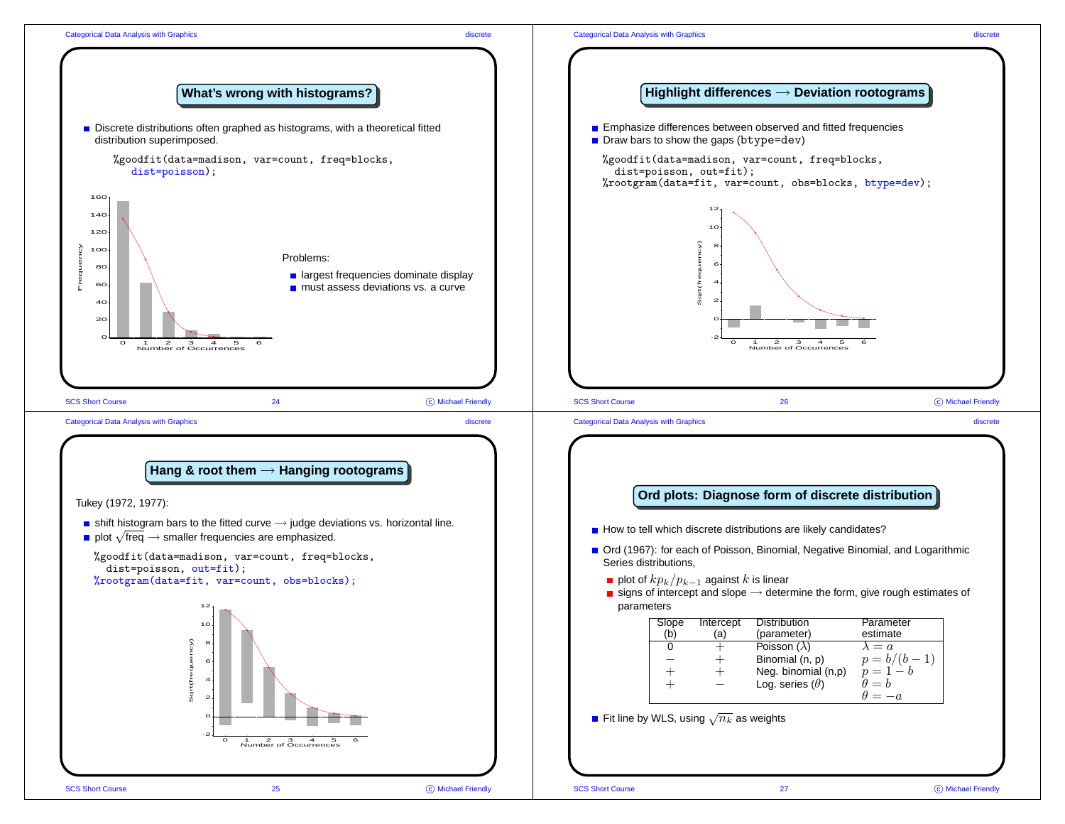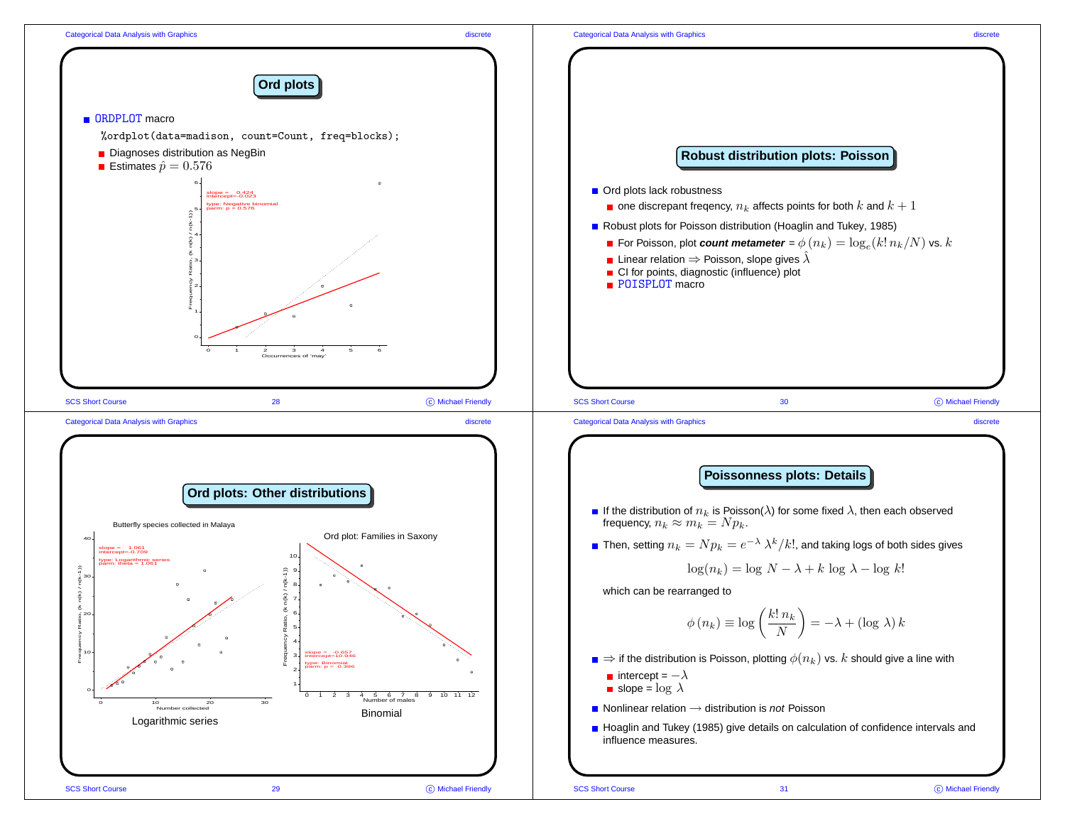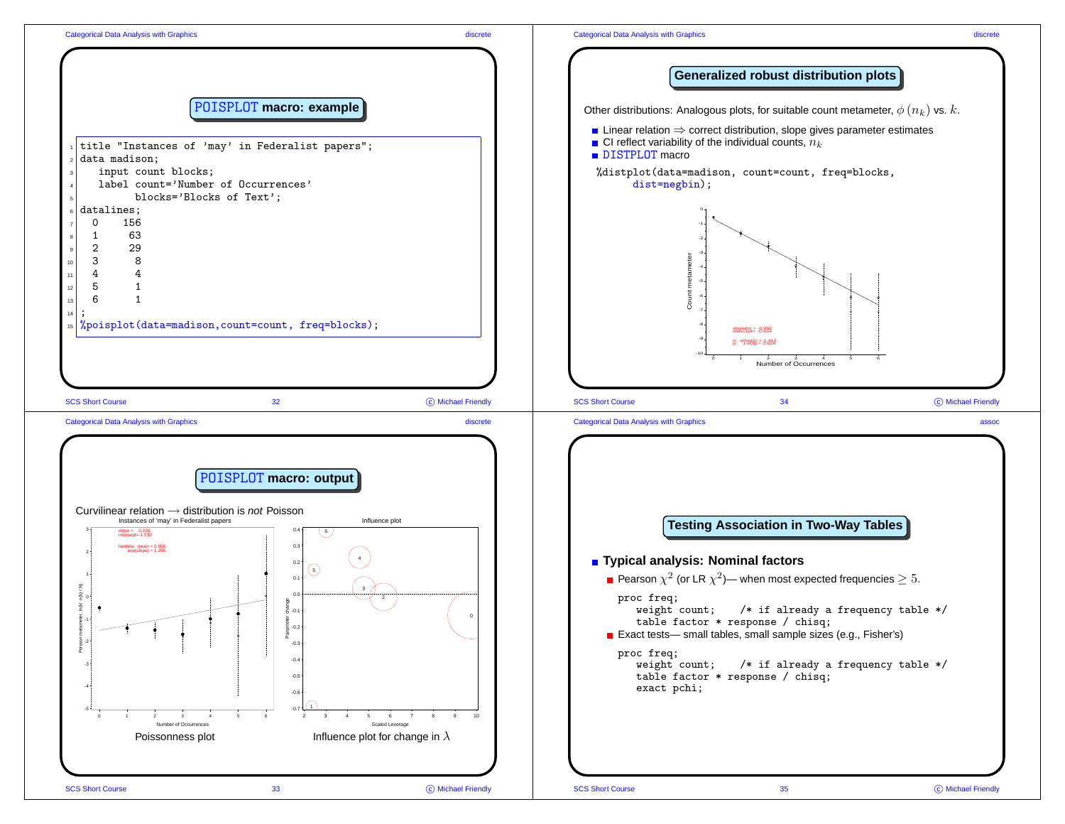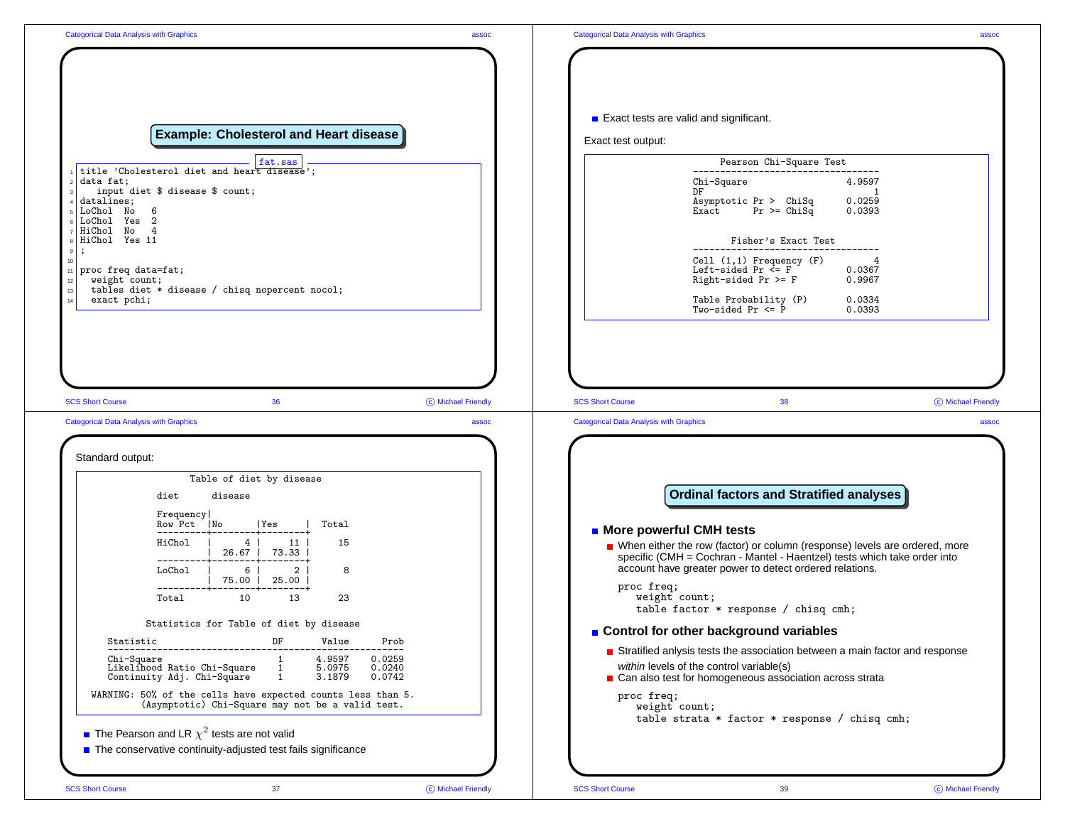|                                                                                                                                                                                                              | <b>Categorical Data Analysis with Graphics</b>                                                                                                                                                                      |                    |
|--------------------------------------------------------------------------------------------------------------------------------------------------------------------------------------------------------------|---------------------------------------------------------------------------------------------------------------------------------------------------------------------------------------------------------------------|--------------------|
| <b>Example: Cholesterol and Heart disease</b>                                                                                                                                                                | Exact tests are valid and significant.<br>Exact test output:                                                                                                                                                        |                    |
| fat.sas                                                                                                                                                                                                      | Pearson Chi-Square Test                                                                                                                                                                                             |                    |
| title 'Cholesterol diet and heart disease';<br>data fat;<br>input diet \$ disease \$ count;<br>datalines;<br>LoChol No<br>6<br>LoChol Yes 2                                                                  | -------------------------<br>Chi-Square<br>4.9597<br>DF<br>$\blacksquare$<br>Asymptotic Pr > ChiSq<br>0.0259<br>$Pr$ >= $ChiSq$<br>0.0393<br>Exact                                                                  |                    |
| HiChol No 4<br>HiChol Yes 11                                                                                                                                                                                 | Fisher's Exact Test                                                                                                                                                                                                 |                    |
| $11$ proc freq data=fat;<br>weight count;                                                                                                                                                                    | $Cell (1,1)$ Frequency $(F)$<br>Left-sided Pr $\overline{S}$ F<br>0.0367<br>Right-sided Pr $>=$ F<br>0.9967                                                                                                         |                    |
| tables diet * disease / chisq nopercent nocol;<br>exact pchi;                                                                                                                                                | Table Probability (P)<br>0.0334<br>Two-sided Pr $\leq$ P<br>0.0393                                                                                                                                                  |                    |
|                                                                                                                                                                                                              | <b>Categorical Data Analysis with Graphics</b><br>assoc                                                                                                                                                             |                    |
|                                                                                                                                                                                                              |                                                                                                                                                                                                                     |                    |
| Table of diet by disease                                                                                                                                                                                     |                                                                                                                                                                                                                     |                    |
| diet<br>disease<br>Frequency<br>Row Pct No<br> Yes<br>Total<br>$--- +$                                                                                                                                       | <b>Ordinal factors and Stratified analyses</b><br><b>n</b> More powerful CMH tests                                                                                                                                  | C Michael Friendly |
| <b>Categorical Data Analysis with Graphics</b><br>Standard output:<br>HiChol<br>$4 \mid$<br>11<br>15<br>26.67   73.33  <br>$6 \mid$<br>2 <sup>1</sup><br>LoChol  <br>8                                       | ■ When either the row (factor) or column (response) levels are ordered, more<br>specific (CMH = Cochran - Mantel - Haentzel) tests which take order into<br>account have greater power to detect ordered relations. |                    |
| 75.00   25.00  <br>---------+--------+-------+<br>10<br>13<br>23<br>Total                                                                                                                                    | proc freq;<br>weight count;<br>table factor $*$ response / chisq cmh;                                                                                                                                               |                    |
| Statistics for Table of diet by disease                                                                                                                                                                      | ■ Control for other background variables                                                                                                                                                                            |                    |
| DF<br>Value<br>Prob<br>Statistic<br>1<br>4.9597<br>0.0259<br>Chi-Square<br>$\mathbf{1}$<br>Likelihood Ratio Chi-Square<br>5.0975<br>0.0240<br>Continuity Adj. Chi-Square<br>$\mathbf{1}$<br>3.1879<br>0.0742 | Stratified anlysis tests the association between a main factor and response<br>within levels of the control variable(s)<br>■ Can also test for homogeneous association across strata                                |                    |
| WARNING: 50% of the cells have expected counts less than 5.<br>(Asymptotic) Chi-Square may not be a valid test.                                                                                              | proc freq;<br>weight count;                                                                                                                                                                                         |                    |
| <b>The Pearson and LR</b> $\chi^2$ tests are not valid<br>The conservative continuity-adjusted test fails significance                                                                                       | table strata $*$ factor $*$ response / chisq cmh;                                                                                                                                                                   |                    |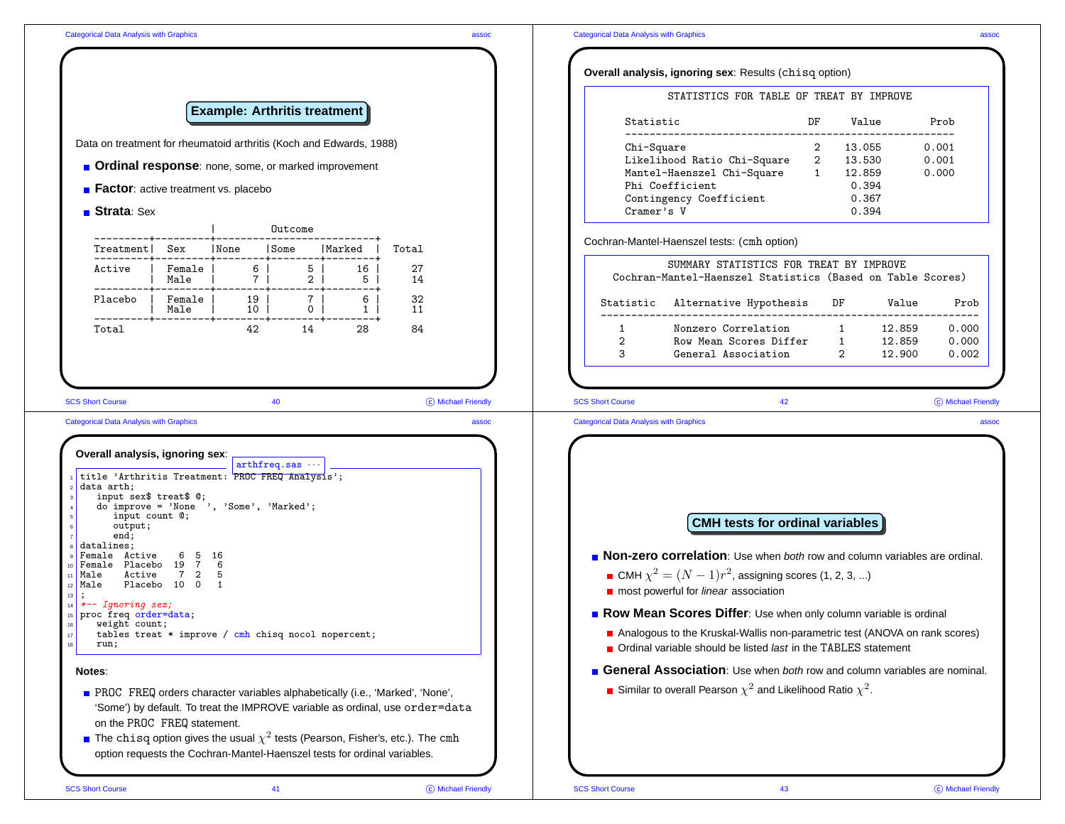|                                                                                                                                                                                                                                                                                                     |                                |                                     |                                  |                             |                                                                                                                                                              |                                                                           | Overall analysis, ignoring sex: Results (chisq option)                                                                                                                                                                  |    |                          |                  |                    |
|-----------------------------------------------------------------------------------------------------------------------------------------------------------------------------------------------------------------------------------------------------------------------------------------------------|--------------------------------|-------------------------------------|----------------------------------|-----------------------------|--------------------------------------------------------------------------------------------------------------------------------------------------------------|---------------------------------------------------------------------------|-------------------------------------------------------------------------------------------------------------------------------------------------------------------------------------------------------------------------|----|--------------------------|------------------|--------------------|
|                                                                                                                                                                                                                                                                                                     |                                | <b>Example: Arthritis treatment</b> |                                  |                             |                                                                                                                                                              |                                                                           | STATISTICS FOR TABLE OF TREAT BY IMPROVE                                                                                                                                                                                |    |                          |                  |                    |
|                                                                                                                                                                                                                                                                                                     |                                |                                     |                                  |                             |                                                                                                                                                              | Statistic                                                                 | -----------------------------------                                                                                                                                                                                     | DF | Value                    |                  | Prob               |
| Data on treatment for rheumatoid arthritis (Koch and Edwards, 1988)                                                                                                                                                                                                                                 |                                |                                     |                                  |                             |                                                                                                                                                              | Chi-Square                                                                | Likelihood Ratio Chi-Square 2                                                                                                                                                                                           |    | 2 13.055<br>13.530       |                  | 0.001<br>0.001     |
| Ordinal response: none, some, or marked improvement                                                                                                                                                                                                                                                 |                                |                                     |                                  |                             |                                                                                                                                                              |                                                                           | Mantel-Haenszel Chi-Square 1 12.859                                                                                                                                                                                     |    |                          |                  | 0.000              |
| <b>Example:</b> Factor: active treatment vs. placebo                                                                                                                                                                                                                                                |                                |                                     |                                  |                             |                                                                                                                                                              |                                                                           | Phi Coefficient<br>Contingency Coefficient                                                                                                                                                                              |    | 0.394<br>0.367           |                  |                    |
| <b>■ Strata</b> : Sex                                                                                                                                                                                                                                                                               |                                |                                     |                                  |                             |                                                                                                                                                              | Cramer's V                                                                |                                                                                                                                                                                                                         |    | 0.394                    |                  |                    |
|                                                                                                                                                                                                                                                                                                     |                                |                                     | Outcome                          |                             |                                                                                                                                                              |                                                                           | Cochran-Mantel-Haenszel tests: (cmh option)                                                                                                                                                                             |    |                          |                  |                    |
| Treatment  Sex   None   Some   Marked                                                                                                                                                                                                                                                               |                                |                                     |                                  |                             | Total                                                                                                                                                        |                                                                           |                                                                                                                                                                                                                         |    |                          |                  |                    |
| Active   Female   6  <br>  Male   7  <br>---------+---------+--------+--------+-                                                                                                                                                                                                                    |                                |                                     | 5 <sup>1</sup><br>2 <sup>1</sup> | 16 <sup>1</sup><br>5        | 27<br>14                                                                                                                                                     |                                                                           | SUMMARY STATISTICS FOR TREAT BY IMPROVE<br>Cochran-Mantel-Haenszel Statistics (Based on Table Scores)                                                                                                                   |    |                          |                  |                    |
| Placebo   Female   19   7  <br>  Male   10   0                                                                                                                                                                                                                                                      |                                |                                     |                                  | 6 <sup>1</sup><br>$1 \vert$ | 32<br>11                                                                                                                                                     |                                                                           | Statistic Alternative Hypothesis                                                                                                                                                                                        |    | DF                       | Value            | Prob               |
| -----------------------<br>Total                                                                                                                                                                                                                                                                    |                                | 42                                  | 14                               | -----+<br>28                | 84                                                                                                                                                           | 1                                                                         | Nonzero Correlation 1                                                                                                                                                                                                   |    |                          | 12.859           | 0.000              |
|                                                                                                                                                                                                                                                                                                     |                                |                                     |                                  |                             |                                                                                                                                                              | $\overline{2}$<br>$\mathcal{S}$                                           | Row Mean Scores Differ<br>General Association                                                                                                                                                                           |    | $1 \quad$<br>$2^{\circ}$ | 12.859<br>12.900 | 0.000<br>0.002     |
|                                                                                                                                                                                                                                                                                                     |                                |                                     | 40<br>$arthfreq.sas \cdots$      |                             | C Michael Friendly<br>assoc                                                                                                                                  | <b>SCS Short Course</b><br><b>Categorical Data Analysis with Graphics</b> | 42                                                                                                                                                                                                                      |    |                          |                  |                    |
| input sex\$ treat\$ 0;<br>do improve = $'$ None ', 'Some', 'Marked';<br>input count 0;                                                                                                                                                                                                              |                                |                                     |                                  |                             |                                                                                                                                                              |                                                                           |                                                                                                                                                                                                                         |    |                          |                  |                    |
| <b>SCS Short Course</b><br><b>Categorical Data Analysis with Graphics</b><br>Overall analysis, ignoring sex:<br>title 'Arthritis Treatment: PROC FREQ Analysis';<br>data arth;<br>output;<br>end;<br>datalines;<br>Female Active 6 5 16<br>Female Placebo 19 7 6<br><sup>11</sup> Male<br>$12$ Male | Active 7 2 5<br>Placebo 10 0 1 |                                     |                                  |                             |                                                                                                                                                              |                                                                           | <b>CMH</b> tests for ordinal variables<br>Non-zero correlation: Use when both row and column variables are ordinal.<br>■ CMH $\chi^2 = (N-1)r^2$ , assigning scores (1, 2, 3, )<br>most powerful for linear association |    |                          |                  |                    |
| $\begin{bmatrix} 14 & *-- & Ignoring & sex \end{bmatrix}$                                                                                                                                                                                                                                           |                                |                                     |                                  |                             |                                                                                                                                                              |                                                                           |                                                                                                                                                                                                                         |    |                          |                  |                    |
| 15 proc freq order=data;<br>weight count;<br>tables treat $*$ improve / cmh chisq nocol nopercent;<br>run;                                                                                                                                                                                          |                                |                                     |                                  |                             |                                                                                                                                                              |                                                                           | Row Mean Scores Differ: Use when only column variable is ordinal<br>Analogous to the Kruskal-Wallis non-parametric test (ANOVA on rank scores)<br>■ Ordinal variable should be listed last in the TABLES statement      |    |                          |                  |                    |
| Notes:                                                                                                                                                                                                                                                                                              |                                |                                     |                                  |                             |                                                                                                                                                              |                                                                           | General Association: Use when both row and column variables are nominal.                                                                                                                                                |    |                          |                  | C Michael Friendly |
| on the PROC FREQ statement.                                                                                                                                                                                                                                                                         |                                |                                     |                                  |                             | PROC FREQ orders character variables alphabetically (i.e., 'Marked', 'None',<br>'Some') by default. To treat the IMPROVE variable as ordinal, use order=data |                                                                           | <b>Similar to overall Pearson</b> $\chi^2$ and Likelihood Ratio $\chi^2$ .                                                                                                                                              |    |                          |                  |                    |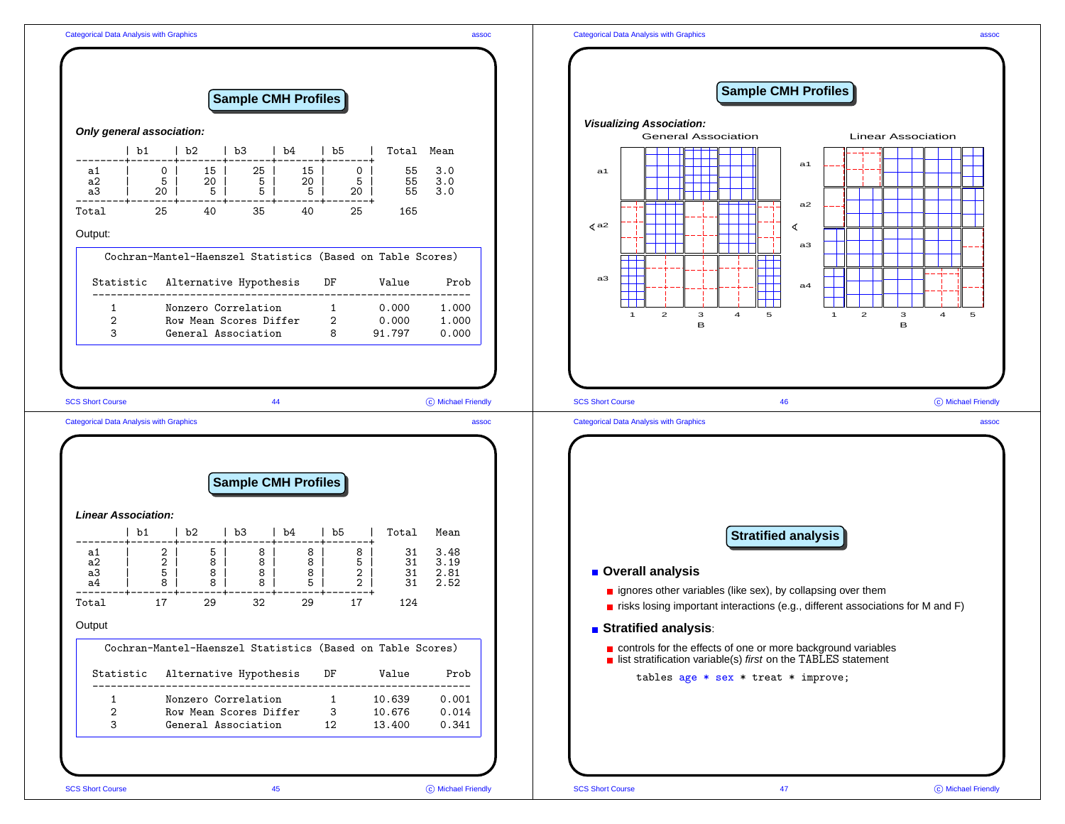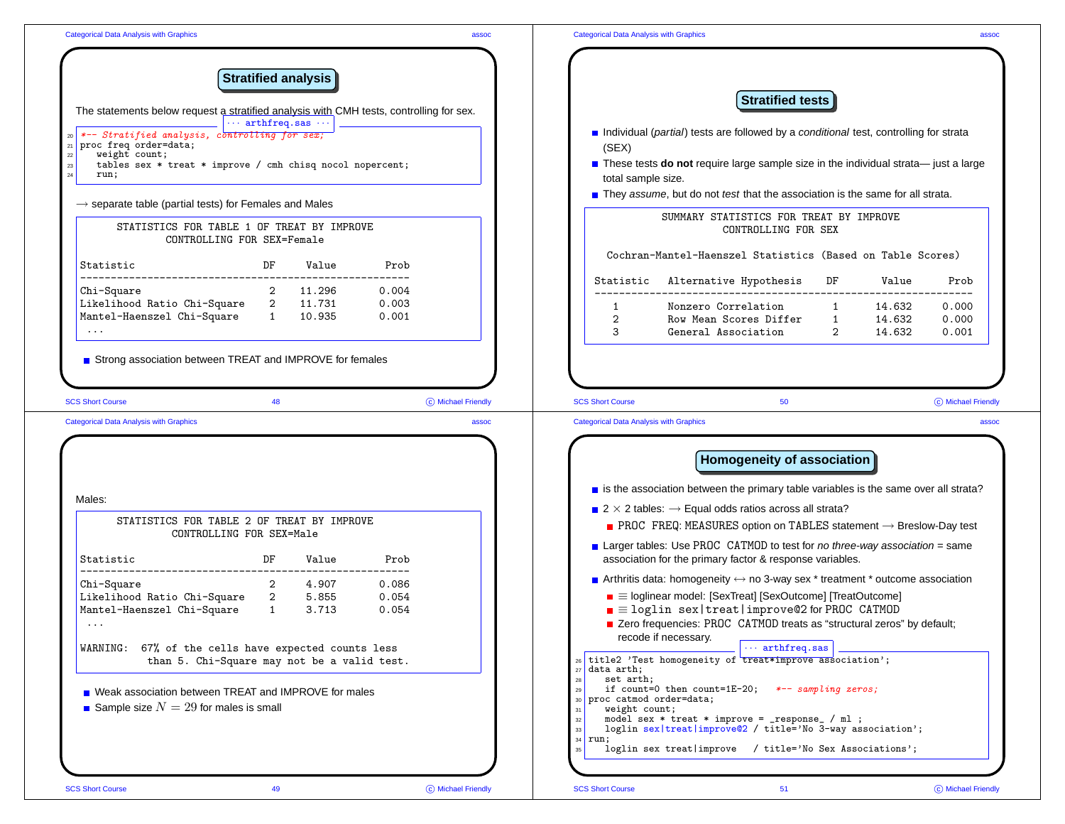| <b>Stratified analysis</b>                                                                                                                                                                                                                                                                           |                         |                                                                                                                 |                                                                                                                                                                                                                                                                                                                                            |                                           |                         |
|------------------------------------------------------------------------------------------------------------------------------------------------------------------------------------------------------------------------------------------------------------------------------------------------------|-------------------------|-----------------------------------------------------------------------------------------------------------------|--------------------------------------------------------------------------------------------------------------------------------------------------------------------------------------------------------------------------------------------------------------------------------------------------------------------------------------------|-------------------------------------------|-------------------------|
| The statements below request a stratified analysis with CMH tests, controlling for sex.                                                                                                                                                                                                              |                         |                                                                                                                 | <b>Stratified tests</b>                                                                                                                                                                                                                                                                                                                    |                                           |                         |
| $\cdots$ arthfreq.sas $\cdots$<br>*-- Stratified analysis, controlling for sex;<br>proc freq order=data;<br>weight count;<br>tables sex * treat * improve / cmh chisq nocol nopercent;                                                                                                               |                         | (SEX)                                                                                                           | Individual (partial) tests are followed by a conditional test, controlling for strata<br><b>n</b> These tests <b>do not</b> require large sample size in the individual strata— just a large                                                                                                                                               |                                           |                         |
| run:                                                                                                                                                                                                                                                                                                 |                         | total sample size.                                                                                              | They assume, but do not test that the association is the same for all strata.                                                                                                                                                                                                                                                              |                                           |                         |
| $\rightarrow$ separate table (partial tests) for Females and Males<br>STATISTICS FOR TABLE 1 OF TREAT BY IMPROVE                                                                                                                                                                                     |                         |                                                                                                                 | SUMMARY STATISTICS FOR TREAT BY IMPROVE<br>CONTROLLING FOR SEX                                                                                                                                                                                                                                                                             |                                           |                         |
| CONTROLLING FOR SEX=Female<br>DF<br>Statistic<br>Value                                                                                                                                                                                                                                               | Prob                    |                                                                                                                 | Cochran-Mantel-Haenszel Statistics (Based on Table Scores)                                                                                                                                                                                                                                                                                 |                                           |                         |
| Chi-Square<br>2 11.296                                                                                                                                                                                                                                                                               | 0.004                   |                                                                                                                 | Statistic Alternative Hypothesis DF                                                                                                                                                                                                                                                                                                        | Value                                     | Prob                    |
| Likelihood Ratio Chi-Square 2 11.731<br>Mantel-Haenszel Chi-Square 1 10.935<br>$\ldots$ .                                                                                                                                                                                                            | 0.003<br>0.001          | $\mathbf{1}$<br>2<br>$\mathcal{S}$                                                                              | Nonzero Correlation 1<br>Row Mean Scores Differ 1<br>General Association                                                                                                                                                                                                                                                                   | 14.632<br>14.632<br>$2^{\circ}$<br>14.632 | 0.000<br>0.000<br>0.001 |
|                                                                                                                                                                                                                                                                                                      | assoc                   | <b>SCS Short Course</b><br><b>Categorical Data Analysis with Graphics</b>                                       | 50                                                                                                                                                                                                                                                                                                                                         |                                           |                         |
|                                                                                                                                                                                                                                                                                                      |                         |                                                                                                                 | Homogeneity of association                                                                                                                                                                                                                                                                                                                 |                                           |                         |
|                                                                                                                                                                                                                                                                                                      |                         |                                                                                                                 | is the association between the primary table variables is the same over all strata?                                                                                                                                                                                                                                                        |                                           |                         |
| STATISTICS FOR TABLE 2 OF TREAT BY IMPROVE<br>CONTROLLING FOR SEX=Male                                                                                                                                                                                                                               |                         |                                                                                                                 | 2 $\times$ 2 tables: $\rightarrow$ Equal odds ratios across all strata?<br><b>PROC</b> FREQ: MEASURES option on TABLES statement $\rightarrow$ Breslow-Day test                                                                                                                                                                            |                                           |                         |
| DF<br>Value                                                                                                                                                                                                                                                                                          | Prob                    |                                                                                                                 | <b>E</b> Larger tables: Use PROC CATMOD to test for no three-way association = same<br>association for the primary factor & response variables.                                                                                                                                                                                            |                                           |                         |
| 2 4.907<br>3.713                                                                                                                                                                                                                                                                                     | 0.086<br>0.054<br>0.054 |                                                                                                                 | <b>Arthritis data:</b> homogeneity $\leftrightarrow$ no 3-way sex $*$ treatment $*$ outcome association<br>$\blacksquare \equiv$ loglinear model: [SexTreat] [SexOutcome] [TreatOutcome]<br>$\blacksquare \equiv$ loglin sex   treat   improve@2 for PROC CATMOD<br>Zero frequencies: PROC CATMOD treats as "structural zeros" by default; |                                           | C Michael Friendly      |
| Statistic<br>Chi-Square<br>than 5. Chi-Square may not be a valid test.                                                                                                                                                                                                                               |                         | $27$ data arth;                                                                                                 | recode if necessary.<br>$\cdots$ arthfreq.sas<br>26 title2 'Test homogeneity of treat*improve association';                                                                                                                                                                                                                                |                                           |                         |
| <b>Categorical Data Analysis with Graphics</b><br>Males:<br>Likelihood Ratio Chi-Square 2 5.855<br>Mantel-Haenszel Chi-Square 1<br>WARNING: 67% of the cells have expected counts less<br>■ Weak association between TREAT and IMPROVE for males<br><b>B</b> Sample size $N = 29$ for males is small |                         | set arth;<br>${\bf 28}$<br>29<br>30 proc catmod order=data;<br>weight count;<br>31<br>$32\,$<br>33<br>$34$ run; | if count=0 then count=1E-20; $*-$ - sampling zeros;<br>model sex $*$ treat $*$ improve = _response_ / ml ;<br>loglin sex treat   improve@2 / title='No 3-way association';                                                                                                                                                                 |                                           |                         |
|                                                                                                                                                                                                                                                                                                      |                         | 35                                                                                                              | loglin sex treat improve / title='No Sex Associations';                                                                                                                                                                                                                                                                                    |                                           |                         |